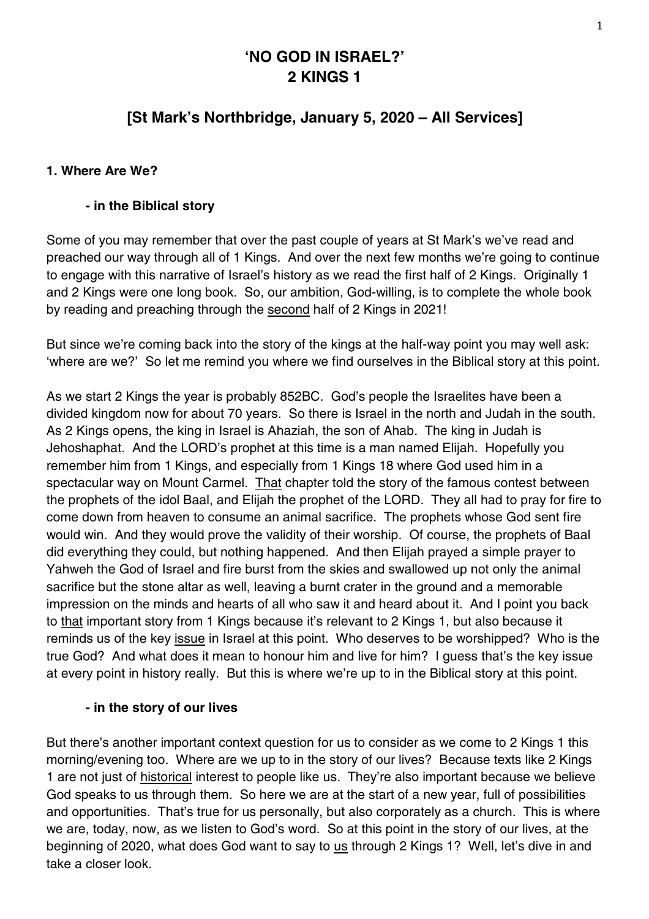# **'NO GOD IN ISRAEL?' 2 KINGS 1**

# **[St Mark's Northbridge, January 5, 2020 – All Services]**

#### **1. Where Are We?**

#### **- in the Biblical story**

Some of you may remember that over the past couple of years at St Mark's we've read and preached our way through all of 1 Kings. And over the next few months we're going to continue to engage with this narrative of Israel's history as we read the first half of 2 Kings. Originally 1 and 2 Kings were one long book. So, our ambition, God-willing, is to complete the whole book by reading and preaching through the second half of 2 Kings in 2021!

But since we're coming back into the story of the kings at the half-way point you may well ask: 'where are we?' So let me remind you where we find ourselves in the Biblical story at this point.

As we start 2 Kings the year is probably 852BC. God's people the Israelites have been a divided kingdom now for about 70 years. So there is Israel in the north and Judah in the south. As 2 Kings opens, the king in Israel is Ahaziah, the son of Ahab. The king in Judah is Jehoshaphat. And the LORD's prophet at this time is a man named Elijah. Hopefully you remember him from 1 Kings, and especially from 1 Kings 18 where God used him in a spectacular way on Mount Carmel. That chapter told the story of the famous contest between the prophets of the idol Baal, and Elijah the prophet of the LORD. They all had to pray for fire to come down from heaven to consume an animal sacrifice. The prophets whose God sent fire would win. And they would prove the validity of their worship. Of course, the prophets of Baal did everything they could, but nothing happened. And then Elijah prayed a simple prayer to Yahweh the God of Israel and fire burst from the skies and swallowed up not only the animal sacrifice but the stone altar as well, leaving a burnt crater in the ground and a memorable impression on the minds and hearts of all who saw it and heard about it. And I point you back to that important story from 1 Kings because it's relevant to 2 Kings 1, but also because it reminds us of the key issue in Israel at this point. Who deserves to be worshipped? Who is the true God? And what does it mean to honour him and live for him? I guess that's the key issue at every point in history really. But this is where we're up to in the Biblical story at this point.

#### **- in the story of our lives**

But there's another important context question for us to consider as we come to 2 Kings 1 this morning/evening too. Where are we up to in the story of our lives? Because texts like 2 Kings 1 are not just of historical interest to people like us. They're also important because we believe God speaks to us through them. So here we are at the start of a new year, full of possibilities and opportunities. That's true for us personally, but also corporately as a church. This is where we are, today, now, as we listen to God's word. So at this point in the story of our lives, at the beginning of 2020, what does God want to say to us through 2 Kings 1? Well, let's dive in and take a closer look.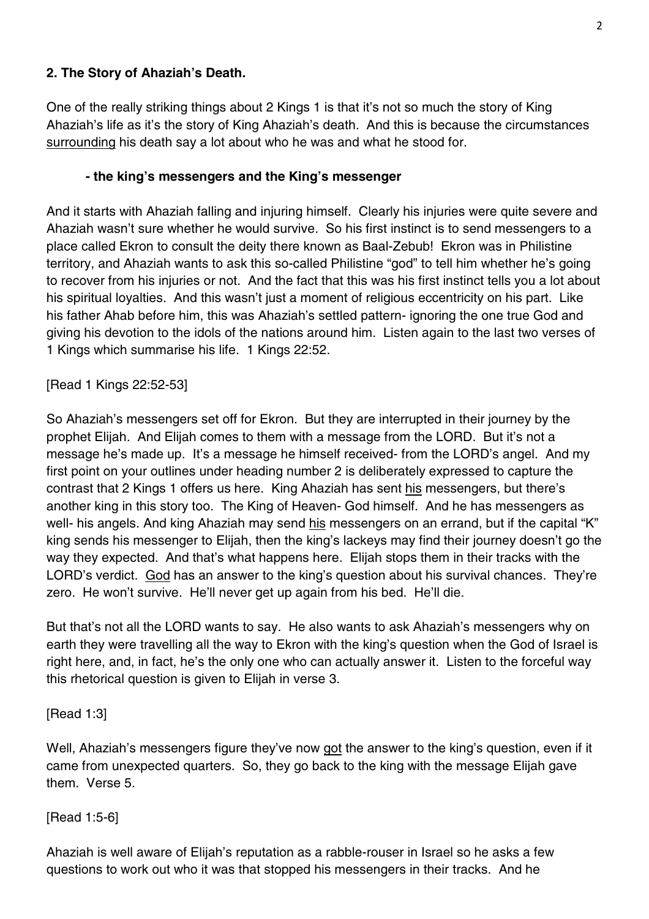### **2. The Story of Ahaziah's Death.**

One of the really striking things about 2 Kings 1 is that it's not so much the story of King Ahaziah's life as it's the story of King Ahaziah's death. And this is because the circumstances surrounding his death say a lot about who he was and what he stood for.

### **- the king's messengers and the King's messenger**

And it starts with Ahaziah falling and injuring himself. Clearly his injuries were quite severe and Ahaziah wasn't sure whether he would survive. So his first instinct is to send messengers to a place called Ekron to consult the deity there known as Baal-Zebub! Ekron was in Philistine territory, and Ahaziah wants to ask this so-called Philistine "god" to tell him whether he's going to recover from his injuries or not. And the fact that this was his first instinct tells you a lot about his spiritual loyalties. And this wasn't just a moment of religious eccentricity on his part. Like his father Ahab before him, this was Ahaziah's settled pattern- ignoring the one true God and giving his devotion to the idols of the nations around him. Listen again to the last two verses of 1 Kings which summarise his life. 1 Kings 22:52.

### [Read 1 Kings 22:52-53]

So Ahaziah's messengers set off for Ekron. But they are interrupted in their journey by the prophet Elijah. And Elijah comes to them with a message from the LORD. But it's not a message he's made up. It's a message he himself received- from the LORD's angel. And my first point on your outlines under heading number 2 is deliberately expressed to capture the contrast that 2 Kings 1 offers us here. King Ahaziah has sent his messengers, but there's another king in this story too. The King of Heaven- God himself. And he has messengers as well- his angels. And king Ahaziah may send his messengers on an errand, but if the capital "K" king sends his messenger to Elijah, then the king's lackeys may find their journey doesn't go the way they expected. And that's what happens here. Elijah stops them in their tracks with the LORD's verdict. God has an answer to the king's question about his survival chances. They're zero. He won't survive. He'll never get up again from his bed. He'll die.

But that's not all the LORD wants to say. He also wants to ask Ahaziah's messengers why on earth they were travelling all the way to Ekron with the king's question when the God of Israel is right here, and, in fact, he's the only one who can actually answer it. Listen to the forceful way this rhetorical question is given to Elijah in verse 3.

### [Read 1:3]

Well, Ahaziah's messengers figure they've now got the answer to the king's question, even if it came from unexpected quarters. So, they go back to the king with the message Elijah gave them. Verse 5.

### [Read 1:5-6]

Ahaziah is well aware of Elijah's reputation as a rabble-rouser in Israel so he asks a few questions to work out who it was that stopped his messengers in their tracks. And he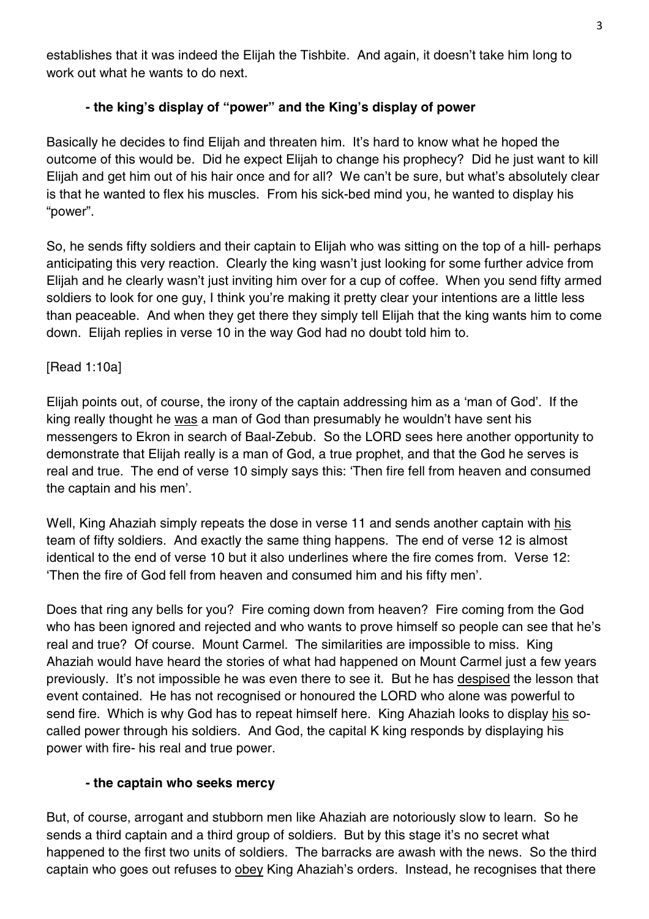establishes that it was indeed the Elijah the Tishbite. And again, it doesn't take him long to work out what he wants to do next.

## **- the king's display of "power" and the King's display of power**

Basically he decides to find Elijah and threaten him. It's hard to know what he hoped the outcome of this would be. Did he expect Elijah to change his prophecy? Did he just want to kill Elijah and get him out of his hair once and for all? We can't be sure, but what's absolutely clear is that he wanted to flex his muscles. From his sick-bed mind you, he wanted to display his "power".

So, he sends fifty soldiers and their captain to Elijah who was sitting on the top of a hill- perhaps anticipating this very reaction. Clearly the king wasn't just looking for some further advice from Elijah and he clearly wasn't just inviting him over for a cup of coffee. When you send fifty armed soldiers to look for one guy, I think you're making it pretty clear your intentions are a little less than peaceable. And when they get there they simply tell Elijah that the king wants him to come down. Elijah replies in verse 10 in the way God had no doubt told him to.

### [Read 1:10a]

Elijah points out, of course, the irony of the captain addressing him as a 'man of God'. If the king really thought he was a man of God than presumably he wouldn't have sent his messengers to Ekron in search of Baal-Zebub. So the LORD sees here another opportunity to demonstrate that Elijah really is a man of God, a true prophet, and that the God he serves is real and true. The end of verse 10 simply says this: 'Then fire fell from heaven and consumed the captain and his men'.

Well, King Ahaziah simply repeats the dose in verse 11 and sends another captain with his team of fifty soldiers. And exactly the same thing happens. The end of verse 12 is almost identical to the end of verse 10 but it also underlines where the fire comes from. Verse 12: 'Then the fire of God fell from heaven and consumed him and his fifty men'.

Does that ring any bells for you? Fire coming down from heaven? Fire coming from the God who has been ignored and rejected and who wants to prove himself so people can see that he's real and true? Of course. Mount Carmel. The similarities are impossible to miss. King Ahaziah would have heard the stories of what had happened on Mount Carmel just a few years previously. It's not impossible he was even there to see it. But he has despised the lesson that event contained. He has not recognised or honoured the LORD who alone was powerful to send fire. Which is why God has to repeat himself here. King Ahaziah looks to display his socalled power through his soldiers. And God, the capital K king responds by displaying his power with fire- his real and true power.

### **- the captain who seeks mercy**

But, of course, arrogant and stubborn men like Ahaziah are notoriously slow to learn. So he sends a third captain and a third group of soldiers. But by this stage it's no secret what happened to the first two units of soldiers. The barracks are awash with the news. So the third captain who goes out refuses to obey King Ahaziah's orders. Instead, he recognises that there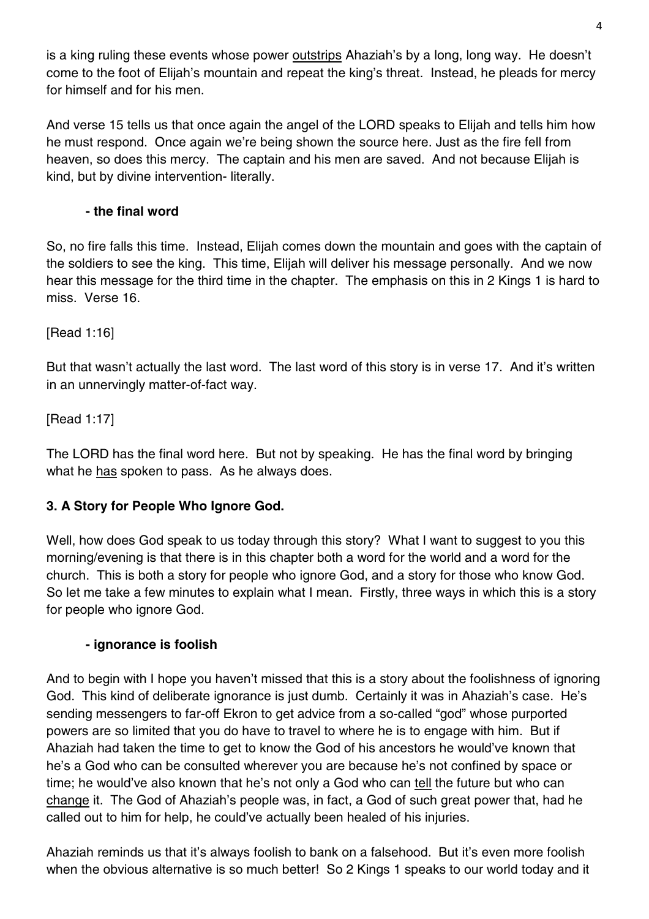is a king ruling these events whose power **outstrips** Ahaziah's by a long, long way. He doesn't come to the foot of Elijah's mountain and repeat the king's threat. Instead, he pleads for mercy for himself and for his men.

And verse 15 tells us that once again the angel of the LORD speaks to Elijah and tells him how he must respond. Once again we're being shown the source here. Just as the fire fell from heaven, so does this mercy. The captain and his men are saved. And not because Elijah is kind, but by divine intervention- literally.

## **- the final word**

So, no fire falls this time. Instead, Elijah comes down the mountain and goes with the captain of the soldiers to see the king. This time, Elijah will deliver his message personally. And we now hear this message for the third time in the chapter. The emphasis on this in 2 Kings 1 is hard to miss. Verse 16.

[Read 1:16]

But that wasn't actually the last word. The last word of this story is in verse 17. And it's written in an unnervingly matter-of-fact way.

[Read 1:17]

The LORD has the final word here. But not by speaking. He has the final word by bringing what he has spoken to pass. As he always does.

# **3. A Story for People Who Ignore God.**

Well, how does God speak to us today through this story? What I want to suggest to you this morning/evening is that there is in this chapter both a word for the world and a word for the church. This is both a story for people who ignore God, and a story for those who know God. So let me take a few minutes to explain what I mean. Firstly, three ways in which this is a story for people who ignore God.

### **- ignorance is foolish**

And to begin with I hope you haven't missed that this is a story about the foolishness of ignoring God. This kind of deliberate ignorance is just dumb. Certainly it was in Ahaziah's case. He's sending messengers to far-off Ekron to get advice from a so-called "god" whose purported powers are so limited that you do have to travel to where he is to engage with him. But if Ahaziah had taken the time to get to know the God of his ancestors he would've known that he's a God who can be consulted wherever you are because he's not confined by space or time; he would've also known that he's not only a God who can tell the future but who can change it. The God of Ahaziah's people was, in fact, a God of such great power that, had he called out to him for help, he could've actually been healed of his injuries.

Ahaziah reminds us that it's always foolish to bank on a falsehood. But it's even more foolish when the obvious alternative is so much better! So 2 Kings 1 speaks to our world today and it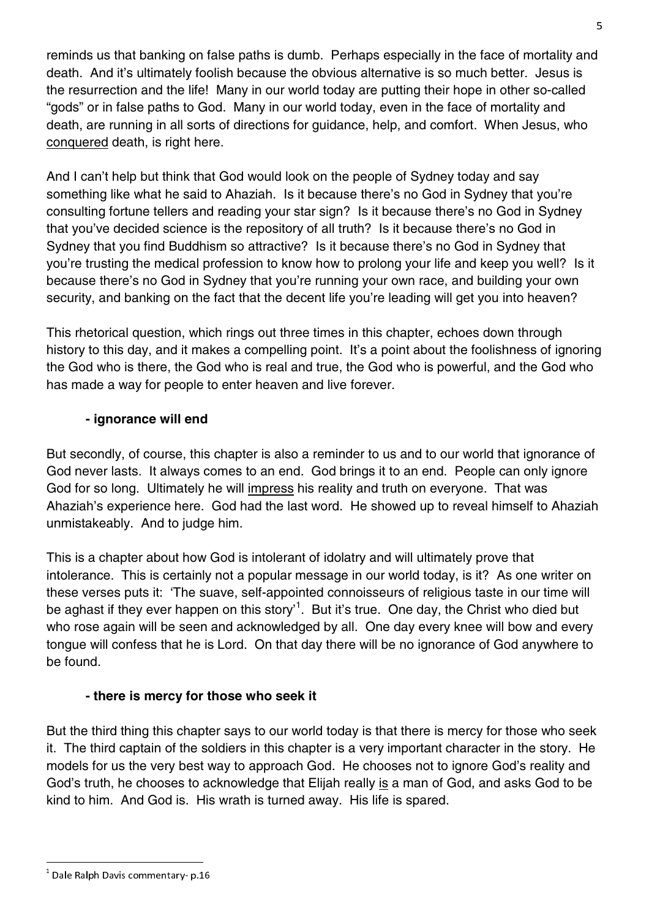reminds us that banking on false paths is dumb. Perhaps especially in the face of mortality and death. And it's ultimately foolish because the obvious alternative is so much better. Jesus is the resurrection and the life! Many in our world today are putting their hope in other so-called "gods" or in false paths to God. Many in our world today, even in the face of mortality and death, are running in all sorts of directions for guidance, help, and comfort. When Jesus, who conquered death, is right here.

And I can't help but think that God would look on the people of Sydney today and say something like what he said to Ahaziah. Is it because there's no God in Sydney that you're consulting fortune tellers and reading your star sign? Is it because there's no God in Sydney that you've decided science is the repository of all truth? Is it because there's no God in Sydney that you find Buddhism so attractive? Is it because there's no God in Sydney that you're trusting the medical profession to know how to prolong your life and keep you well? Is it because there's no God in Sydney that you're running your own race, and building your own security, and banking on the fact that the decent life you're leading will get you into heaven?

This rhetorical question, which rings out three times in this chapter, echoes down through history to this day, and it makes a compelling point. It's a point about the foolishness of ignoring the God who is there, the God who is real and true, the God who is powerful, and the God who has made a way for people to enter heaven and live forever.

### **- ignorance will end**

But secondly, of course, this chapter is also a reminder to us and to our world that ignorance of God never lasts. It always comes to an end. God brings it to an end. People can only ignore God for so long. Ultimately he will impress his reality and truth on everyone. That was Ahaziah's experience here. God had the last word. He showed up to reveal himself to Ahaziah unmistakeably. And to judge him.

This is a chapter about how God is intolerant of idolatry and will ultimately prove that intolerance. This is certainly not a popular message in our world today, is it? As one writer on these verses puts it: 'The suave, self-appointed connoisseurs of religious taste in our time will be aghast if they ever happen on this story'<sup>1</sup>. But it's true. One day, the Christ who died but who rose again will be seen and acknowledged by all. One day every knee will bow and every tongue will confess that he is Lord. On that day there will be no ignorance of God anywhere to be found.

### **- there is mercy for those who seek it**

But the third thing this chapter says to our world today is that there is mercy for those who seek it. The third captain of the soldiers in this chapter is a very important character in the story. He models for us the very best way to approach God. He chooses not to ignore God's reality and God's truth, he chooses to acknowledge that Elijah really is a man of God, and asks God to be kind to him. And God is. His wrath is turned away. His life is spared.

 $^1$  Dale Ralph Davis commentary- p.16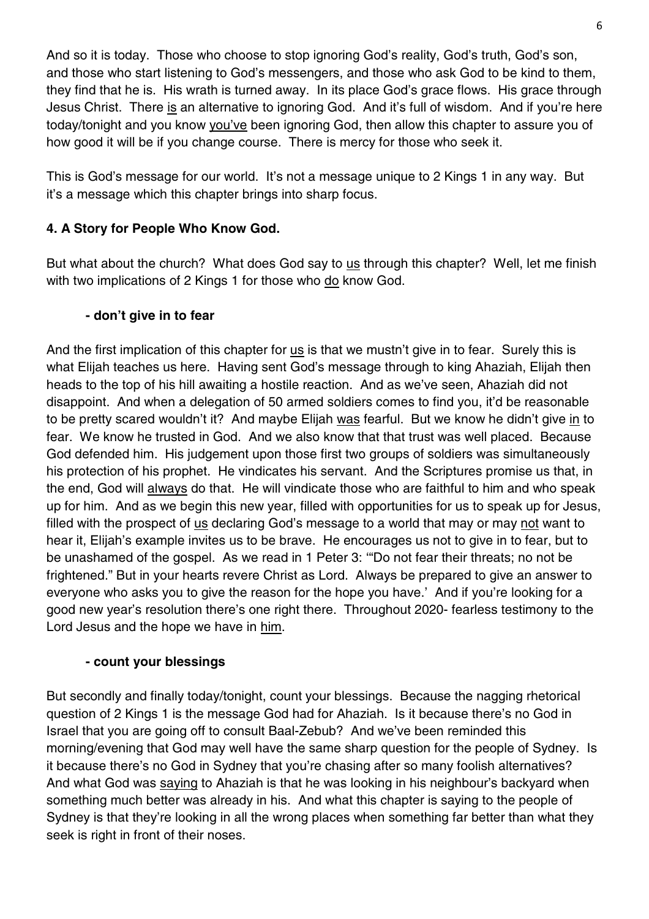And so it is today. Those who choose to stop ignoring God's reality, God's truth, God's son, and those who start listening to God's messengers, and those who ask God to be kind to them, they find that he is. His wrath is turned away. In its place God's grace flows. His grace through Jesus Christ. There is an alternative to ignoring God. And it's full of wisdom. And if you're here today/tonight and you know you've been ignoring God, then allow this chapter to assure you of how good it will be if you change course. There is mercy for those who seek it.

This is God's message for our world. It's not a message unique to 2 Kings 1 in any way. But it's a message which this chapter brings into sharp focus.

## **4. A Story for People Who Know God.**

But what about the church? What does God say to us through this chapter? Well, let me finish with two implications of 2 Kings 1 for those who do know God.

### **- don't give in to fear**

And the first implication of this chapter for us is that we mustn't give in to fear. Surely this is what Elijah teaches us here. Having sent God's message through to king Ahaziah, Elijah then heads to the top of his hill awaiting a hostile reaction. And as we've seen, Ahaziah did not disappoint. And when a delegation of 50 armed soldiers comes to find you, it'd be reasonable to be pretty scared wouldn't it? And maybe Elijah was fearful. But we know he didn't give in to fear. We know he trusted in God. And we also know that that trust was well placed. Because God defended him. His judgement upon those first two groups of soldiers was simultaneously his protection of his prophet. He vindicates his servant. And the Scriptures promise us that, in the end, God will always do that. He will vindicate those who are faithful to him and who speak up for him. And as we begin this new year, filled with opportunities for us to speak up for Jesus, filled with the prospect of us declaring God's message to a world that may or may not want to hear it, Elijah's example invites us to be brave. He encourages us not to give in to fear, but to be unashamed of the gospel. As we read in 1 Peter 3: '"Do not fear their threats; no not be frightened." But in your hearts revere Christ as Lord. Always be prepared to give an answer to everyone who asks you to give the reason for the hope you have.' And if you're looking for a good new year's resolution there's one right there. Throughout 2020- fearless testimony to the Lord Jesus and the hope we have in him.

### **- count your blessings**

But secondly and finally today/tonight, count your blessings. Because the nagging rhetorical question of 2 Kings 1 is the message God had for Ahaziah. Is it because there's no God in Israel that you are going off to consult Baal-Zebub? And we've been reminded this morning/evening that God may well have the same sharp question for the people of Sydney. Is it because there's no God in Sydney that you're chasing after so many foolish alternatives? And what God was saying to Ahaziah is that he was looking in his neighbour's backyard when something much better was already in his. And what this chapter is saying to the people of Sydney is that they're looking in all the wrong places when something far better than what they seek is right in front of their noses.